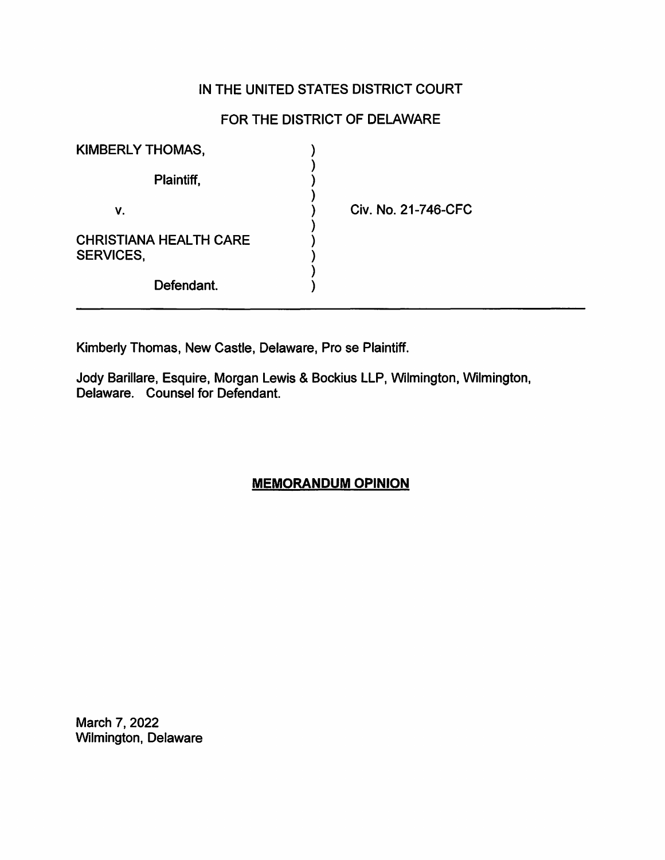## IN THE UNITED STATES DISTRICT COURT

## FOR THE DISTRICT OF DELAWARE

| <b>KIMBERLY THOMAS,</b>                           |                     |
|---------------------------------------------------|---------------------|
| Plaintiff,                                        |                     |
| ۷.                                                | Civ. No. 21-746-CFC |
| <b>CHRISTIANA HEALTH CARE</b><br><b>SERVICES,</b> |                     |
| Defendant.                                        |                     |

Kimberly Thomas, New Castle, Delaware, Pro se Plaintiff.

Jody Barillare, Esquire, Morgan Lewis & Beckius LLP, Wilmington, Wilmington, Delaware. Counsel for Defendant.

# **MEMORANDUM OPINION**

March 7, 2022 Wilmington, Delaware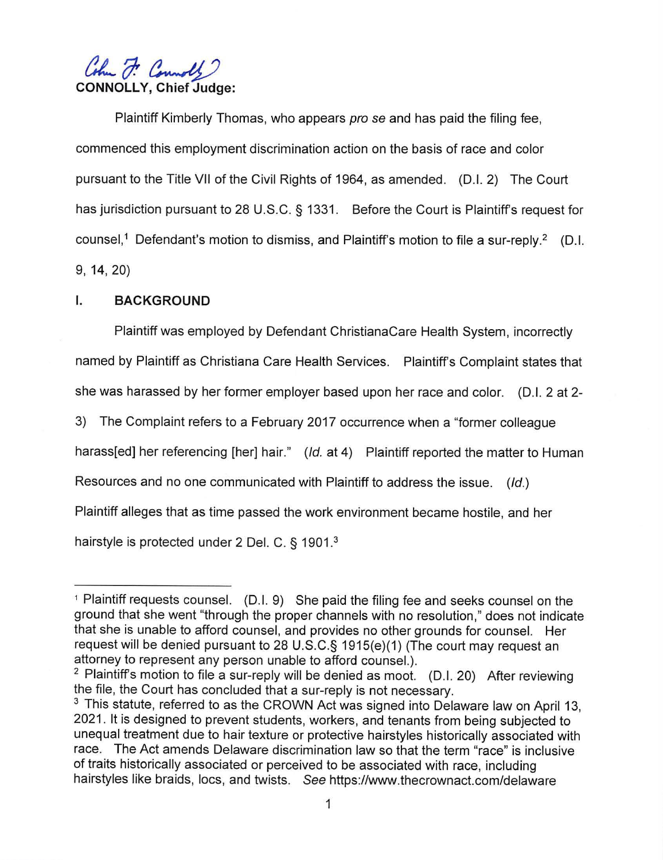Cohn J. Connoll **CONNOLLY, Chief Judge:** 

Plaintiff Kimberly Thomas, who appears pro se and has paid the filing fee. commenced this employment discrimination action on the basis of race and color pursuant to the Title VII of the Civil Rights of 1964, as amended. (D.I. 2) The Court has jurisdiction pursuant to 28 U.S.C. § 1331. Before the Court is Plaintiff's request for counsel,<sup>1</sup> Defendant's motion to dismiss, and Plaintiff's motion to file a sur-reply.<sup>2</sup> (D. I. 9, 14, 20)

### I. **BACKGROUND**

Plaintiff was employed by Defendant ChristianaCare Health System, incorrectly named by Plaintiff as Christiana Care Health Services. Plaintiff's Complaint states that she was harassed by her former employer based upon her race and color. (D.I. 2 at 2-

3) The Complaint refers to a February 2017 occurrence when a "former colleague

harass[ed] her referencing [her] hair." (Id. at 4) Plaintiff reported the matter to Human

Resources and no one communicated with Plaintiff to address the issue. (Id.)

Plaintiff alleges that as time passed the work environment became hostile, and her

hairstyle is protected under 2 Del. C. § 1901.<sup>3</sup>

<sup>&</sup>lt;sup>1</sup> Plaintiff requests counsel. (D.I. 9) She paid the filing fee and seeks counsel on the ground that she went "through the proper channels with no resolution," does not indicate that she is unable to afford counsel, and provides no other grounds for counsel. Her request will be denied pursuant to 28 U.S.C.§ 1915(e)(1) (The court may request an attorney to represent any person unable to afford counsel.).

<sup>&</sup>lt;sup>2</sup> Plaintiff's motion to file a sur-reply will be denied as moot. (D.I. 20) After reviewing the file, the Court has concluded that a sur-reply is not necessary.<br><sup>3</sup> This statute, referred to as the CROWN Act was signed into Delaware law on April 13,

<sup>2021</sup> . It is designed to prevent students, workers, and tenants from being subjected to unequal treatment due to hair texture or protective hairstyles historically associated with race. The Act amends Delaware discrimination law so that the term "race" is inclusive of traits historically associated or perceived to be associated with race, including hairstyles like braids, locs, and twists. See https://www.thecrownact.com/delaware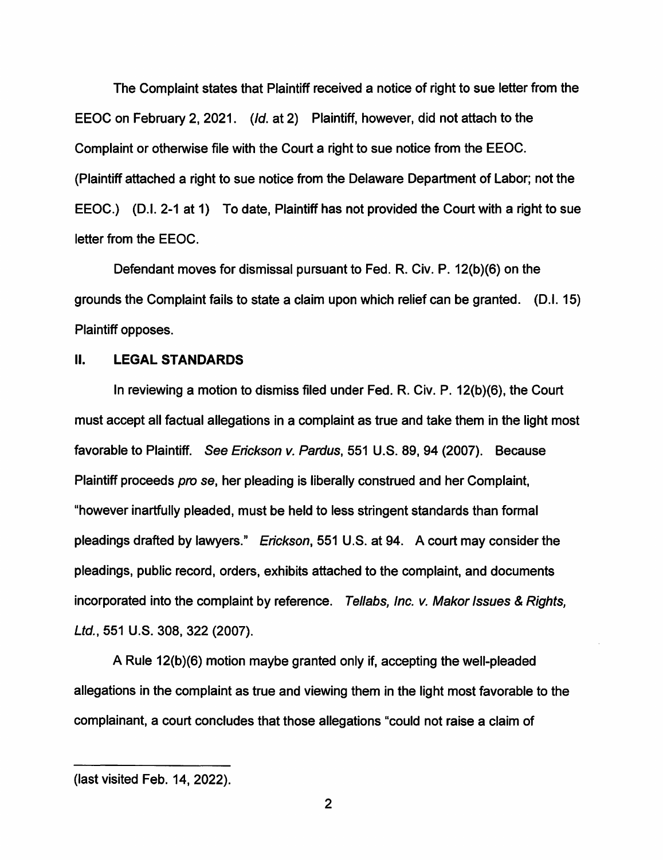The Complaint states that Plaintiff received a notice of right to sue letter from the EEOC on February 2, 2021. (Id. at 2) Plaintiff, however, did not attach to the Complaint or otherwise file with the Court a right to sue notice from the EEOC. (Plaintiff attached a right to sue notice from the Delaware Department of Labor; not the EEOC.) (D.I. 2-1 at 1) To date, Plaintiff has not provided the Court with a right to sue letter from the EEOC.

Defendant moves for dismissal pursuant to Fed. R. Civ. P. 12(b)(6) on the grounds the Complaint fails to state a claim upon which relief can be granted. (D.I. 15) Plaintiff opposes.

### II. **LEGAL STANDARDS**

In reviewing a motion to dismiss filed under Fed. R. Civ. P. 12(b)(6), the Court must accept all factual allegations in a complaint as true and take them in the light most favorable to Plaintiff. See Erickson v. Pardus, 551 U.S. 89, 94 (2007). Because Plaintiff proceeds pro se, her pleading is liberally construed and her Complaint, <sup>11</sup>however inartfully pleaded, must be held to less stringent standards than formal pleadings drafted by lawyers." Erickson, 551 U.S. at 94. A court may consider the pleadings, public record, orders, exhibits attached to the complaint, and documents incorporated into the complaint by reference. Tellabs, Inc. v. Makor Issues & Rights, Ltd., 551 U.S. 308, 322 (2007).

A Rule 12(b)(6) motion maybe granted only if, accepting the well-pleaded allegations in the complaint as true and viewing them in the light most favorable to the complainant, a court concludes that those allegations "could not raise a claim of

<sup>(</sup>last visited Feb. 14, 2022).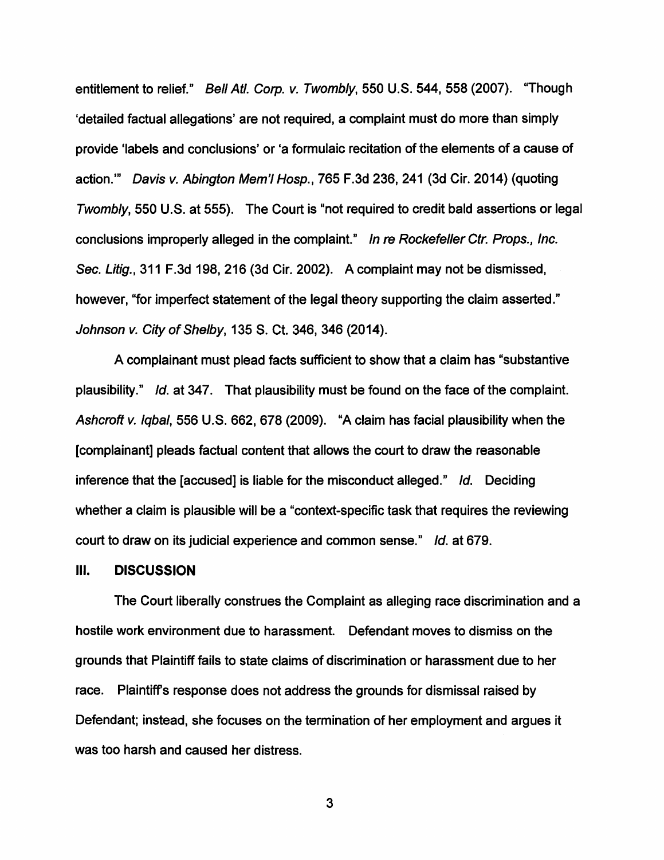entitlement to relief." Bell Atl. Corp. v. Twombly, 550 U.S. 544, 558 (2007). "Though 'detailed factual allegations' are not required, a complaint must do more than simply provide 'labels and conclusions' or 'a formulaic recitation of the elements of a cause of action."' Davis v. Abington Mem'I Hosp., 765 F.3d 236, 241 (3d Cir. 2014) (quoting Twombly, 550 U.S. at 555). The Court is "not required to credit bald assertions or legal conclusions improperly alleged in the complaint." In re Rockefeller Ctr. Props., Inc. Sec. Litig., 311 F.3d 198, 216 (3d Cir. 2002). A complaint may not be dismissed, however, "for imperfect statement of the legal theory supporting the claim asserted." Johnson v. City of Shelby, 135 S. Ct. 346, 346 (2014).

A complainant must plead facts sufficient to show that a claim has "substantive plausibility." Id. at 347. That plausibility must be found on the face of the complaint. Ashcroft v. Iqbal, 556 U.S. 662, 678 (2009). "A claim has facial plausibility when the [complainant] pleads factual content that allows the court to draw the reasonable inference that the [accused] is liable for the misconduct alleged." Id. Deciding whether a claim is plausible will be a "context-specific task that requires the reviewing court to draw on its judicial experience and common sense." Id. at 679.

#### Ill. **DISCUSSION**

The Court liberally construes the Complaint as alleging race discrimination and a hostile work environment due to harassment. Defendant moves to dismiss on the grounds that Plaintiff fails to state claims of discrimination or harassment due to her race. Plaintiff's response does not address the grounds for dismissal raised by Defendant; instead, she focuses on the termination of her employment and argues it was too harsh and caused her distress.

3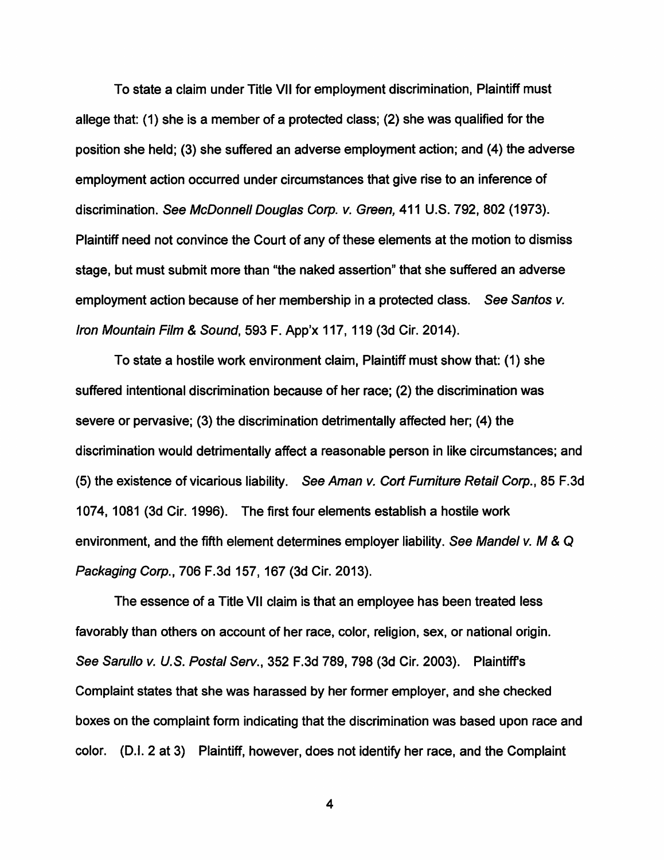To state a claim under Title VII for employment discrimination, Plaintiff must allege that: (1) she is a member of a protected class; (2) she was qualified for the position she held; (3) she suffered an adverse employment action; and (4) the adverse employment action occurred under circumstances that give rise to an inference of discrimination. See McDonnell Douglas Corp. v. Green, 411 U.S. 792, 802 (1973). Plaintiff need not convince the Court of any of these elements at the motion to dismiss stage, but must submit more than "the naked assertion" that she suffered an adverse employment action because of her membership in a protected class. See Santos v. Iron Mountain Film & Sound, 593 F. App'x 117, 119 (3d Cir. 2014).

To state a hostile work environment claim, Plaintiff must show that: (1) she suffered intentional discrimination because of her race; (2) the discrimination was severe or pervasive; (3) the discrimination detrimentally affected her; (4) the discrimination would detrimentally affect a reasonable person in like circumstances; and (5) the existence of vicarious liability. See Aman v. Cort Furniture Retail Corp., 85 F.3d 1074, 1081 (3d Cir. 1996). The first four elements establish a hostile work environment, and the fifth element determines employer liability. See Mandel v. M & Q Packaging Corp., 706 F.3d 157, 167 (3d Cir. 2013).

The essence of a Title VII claim is that an employee has been treated less favorably than others on account of her race, color, religion, sex, or national origin. See Sarullo v. U.S. Postal Serv., 352 F.3d 789, 798 (3d Cir. 2003). Plaintiffs Complaint states that she was harassed by her former employer, and she checked boxes on the complaint form indicating that the discrimination was based upon race and color. (D.I. 2 at 3) Plaintiff, however, does not identify her race, and the Complaint

4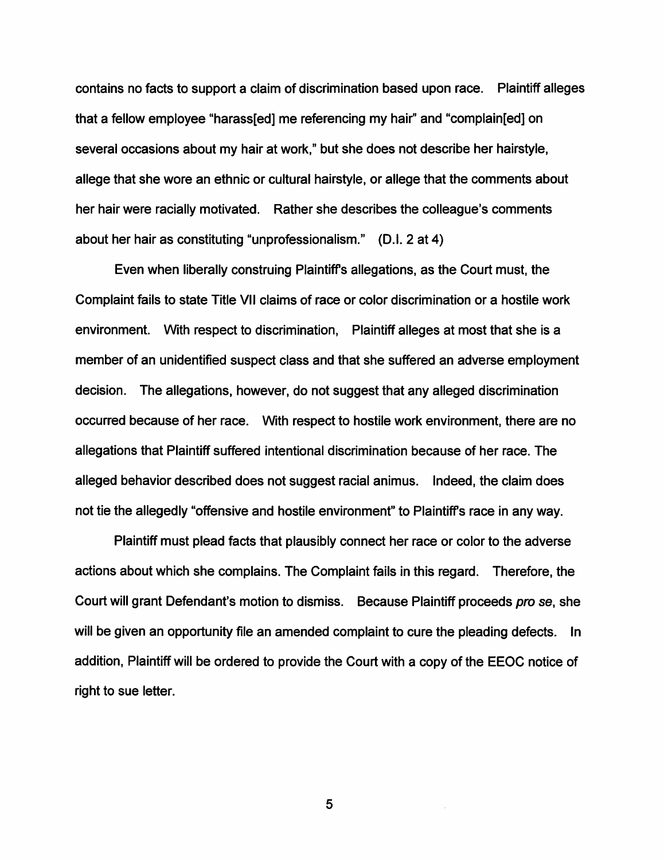contains no facts to support a claim of discrimination based upon race. Plaintiff alleges that a fellow employee "harass[ed] me referencing my hair" and "complain[ed] on several occasions about my hair at work," but she does not describe her hairstyle, allege that she wore an ethnic or cultural hairstyle, or allege that the comments about her hair were racially motivated. Rather she describes the colleague's comments about her hair as constituting "unprofessionalism." (D.I. 2 at 4)

Even when liberally construing Plaintiff's allegations, as the Court must, the Complaint fails to state Title VII claims of race or color discrimination or a hostile work environment. With respect to discrimination, Plaintiff alleges at most that she is a member of an unidentified suspect class and that she suffered an adverse employment decision. The allegations, however, do not suggest that any alleged discrimination occurred because of her race. With respect to hostile work environment, there are no allegations that Plaintiff suffered intentional discrimination because of her race. The alleged behavior described does not suggest racial animus. Indeed, the claim does not tie the allegedly "offensive and hostile environment" to Plaintiff's race in any way.

Plaintiff must plead facts that plausibly connect her race or color to the adverse actions about which she complains. The Complaint fails in this regard. Therefore, the Court will grant Defendant's motion to dismiss. Because Plaintiff proceeds pro se, she will be given an opportunity file an amended complaint to cure the pleading defects. In addition, Plaintiff will be ordered to provide the Court with a copy of the EEOC notice of right to sue letter.

5